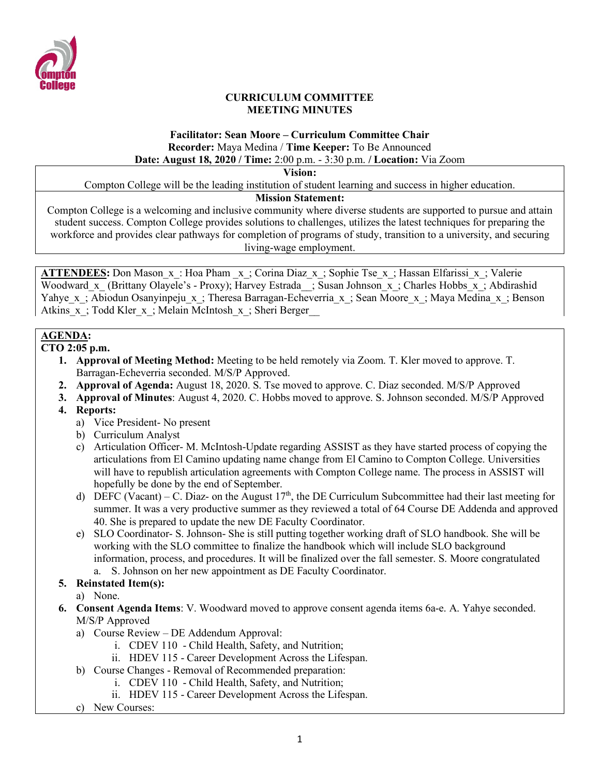

#### **CURRICULUM COMMITTEE MEETING MINUTES**

# **Facilitator: Sean Moore – Curriculum Committee Chair Recorder:** Maya Medina / **Time Keeper:** To Be Announced

**Date: August 18, 2020 / Time:** 2:00 p.m. - 3:30 p.m. **/ Location:** Via Zoom

**Vision:**

Compton College will be the leading institution of student learning and success in higher education.

#### **Mission Statement:**

Compton College is a welcoming and inclusive community where diverse students are supported to pursue and attain student success. Compton College provides solutions to challenges, utilizes the latest techniques for preparing the workforce and provides clear pathways for completion of programs of study, transition to a university, and securing living-wage employment.

**ATTENDEES:** Don Mason  $x$ : Hoa Pham  $x$ ; Corina Diaz  $x$ ; Sophie Tse  $x$ ; Hassan Elfarissi  $x$ ; Valerie Woodward x (Brittany Olayele's - Proxy); Harvey Estrada ; Susan Johnson x; Charles Hobbs x; Abdirashid Yahye x; Abiodun Osanyinpeju x; Theresa Barragan-Echeverria x; Sean Moore x; Maya Medina x; Benson Atkins x; Todd Kler x; Melain McIntosh x; Sheri Berger

## **AGENDA:**

**CTO 2:05 p.m.**

- **1. Approval of Meeting Method:** Meeting to be held remotely via Zoom. T. Kler moved to approve. T. Barragan-Echeverria seconded. M/S/P Approved.
- **2. Approval of Agenda:** August 18, 2020. S. Tse moved to approve. C. Diaz seconded. M/S/P Approved
- **3. Approval of Minutes**: August 4, 2020. C. Hobbs moved to approve. S. Johnson seconded. M/S/P Approved
- **4. Reports:**
	- a) Vice President- No present
	- b) Curriculum Analyst
	- c) Articulation Officer- M. McIntosh-Update regarding ASSIST as they have started process of copying the articulations from El Camino updating name change from El Camino to Compton College. Universities will have to republish articulation agreements with Compton College name. The process in ASSIST will hopefully be done by the end of September.
	- d) DEFC (Vacant) C. Diaz- on the August  $17<sup>th</sup>$ , the DE Curriculum Subcommittee had their last meeting for summer. It was a very productive summer as they reviewed a total of 64 Course DE Addenda and approved 40. She is prepared to update the new DE Faculty Coordinator.
	- e) SLO Coordinator- S. Johnson- She is still putting together working draft of SLO handbook. She will be working with the SLO committee to finalize the handbook which will include SLO background information, process, and procedures. It will be finalized over the fall semester. S. Moore congratulated a. S. Johnson on her new appointment as DE Faculty Coordinator.
- **5. Reinstated Item(s):**

a) None.

- **6. Consent Agenda Items**: V. Woodward moved to approve consent agenda items 6a-e. A. Yahye seconded. M/S/P Approved
	- a) Course Review DE Addendum Approval:
		- i. CDEV 110 Child Health, Safety, and Nutrition;
		- ii. HDEV 115 Career Development Across the Lifespan.
	- b) Course Changes Removal of Recommended preparation:
		- i. CDEV 110 Child Health, Safety, and Nutrition;
		- ii. HDEV 115 Career Development Across the Lifespan.
	- c) New Courses: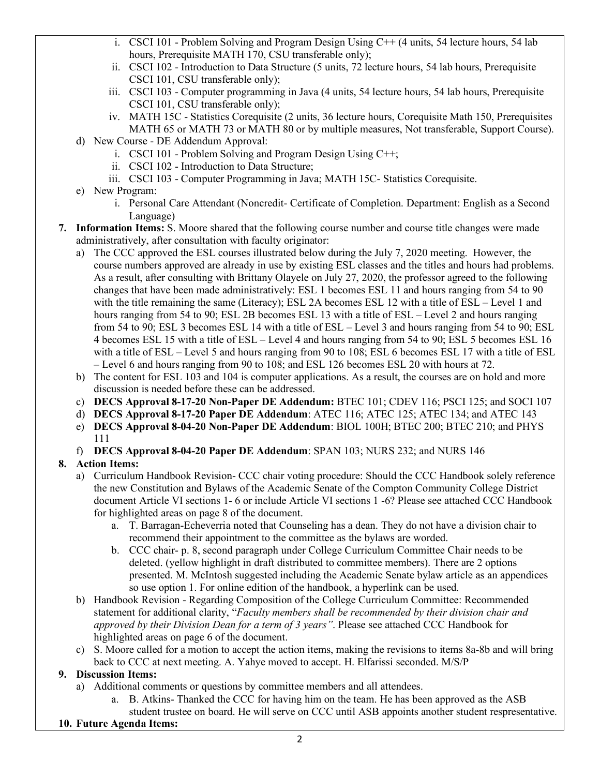- i. CSCI 101 Problem Solving and Program Design Using  $\overline{C}$ ++ (4 units, 54 lecture hours, 54 lab hours, Prerequisite MATH 170, CSU transferable only);
- ii. CSCI 102 Introduction to Data Structure (5 units, 72 lecture hours, 54 lab hours, Prerequisite CSCI 101, CSU transferable only);
- iii. CSCI 103 Computer programming in Java (4 units, 54 lecture hours, 54 lab hours, Prerequisite CSCI 101, CSU transferable only);
- iv. MATH 15C Statistics Corequisite (2 units, 36 lecture hours, Corequisite Math 150, Prerequisites MATH 65 or MATH 73 or MATH 80 or by multiple measures, Not transferable, Support Course).
- d) New Course DE Addendum Approval:
	- i. CSCI 101 Problem Solving and Program Design Using C++;
	- ii. CSCI 102 Introduction to Data Structure;
	- iii. CSCI 103 Computer Programming in Java; MATH 15C- Statistics Corequisite.
- e) New Program:
	- i. Personal Care Attendant (Noncredit- Certificate of Completion. Department: English as a Second Language)
- **7. Information Items:** S. Moore shared that the following course number and course title changes were made administratively, after consultation with faculty originator:
	- a) The CCC approved the ESL courses illustrated below during the July 7, 2020 meeting. However, the course numbers approved are already in use by existing ESL classes and the titles and hours had problems. As a result, after consulting with Brittany Olayele on July 27, 2020, the professor agreed to the following changes that have been made administratively: ESL 1 becomes ESL 11 and hours ranging from 54 to 90 with the title remaining the same (Literacy); ESL 2A becomes ESL 12 with a title of ESL – Level 1 and hours ranging from 54 to 90; ESL 2B becomes ESL 13 with a title of ESL – Level 2 and hours ranging from 54 to 90; ESL 3 becomes ESL 14 with a title of ESL – Level 3 and hours ranging from 54 to 90; ESL 4 becomes ESL 15 with a title of ESL – Level 4 and hours ranging from 54 to 90; ESL 5 becomes ESL 16 with a title of ESL – Level 5 and hours ranging from 90 to 108; ESL 6 becomes ESL 17 with a title of ESL – Level 6 and hours ranging from 90 to 108; and ESL 126 becomes ESL 20 with hours at 72.
	- b) The content for ESL 103 and 104 is computer applications. As a result, the courses are on hold and more discussion is needed before these can be addressed.
	- c) **DECS Approval 8-17-20 Non-Paper DE Addendum:** BTEC 101; CDEV 116; PSCI 125; and SOCI 107
	- d) **DECS Approval 8-17-20 Paper DE Addendum**: ATEC 116; ATEC 125; ATEC 134; and ATEC 143
	- e) **DECS Approval 8-04-20 Non-Paper DE Addendum**: BIOL 100H; BTEC 200; BTEC 210; and PHYS 111
	- f) **DECS Approval 8-04-20 Paper DE Addendum**: SPAN 103; NURS 232; and NURS 146

## **8. Action Items:**

- a) Curriculum Handbook Revision- CCC chair voting procedure: Should the CCC Handbook solely reference the new Constitution and Bylaws of the Academic Senate of the Compton Community College District document Article VI sections 1- 6 or include Article VI sections 1 -6? Please see attached CCC Handbook for highlighted areas on page 8 of the document.
	- a. T. Barragan-Echeverria noted that Counseling has a dean. They do not have a division chair to recommend their appointment to the committee as the bylaws are worded.
	- b. CCC chair- p. 8, second paragraph under College Curriculum Committee Chair needs to be deleted. (yellow highlight in draft distributed to committee members). There are 2 options presented. M. McIntosh suggested including the Academic Senate bylaw article as an appendices so use option 1. For online edition of the handbook, a hyperlink can be used.
- b) Handbook Revision Regarding Composition of the College Curriculum Committee: Recommended statement for additional clarity, "*Faculty members shall be recommended by their division chair and approved by their Division Dean for a term of 3 years"*. Please see attached CCC Handbook for highlighted areas on page 6 of the document.
- c) S. Moore called for a motion to accept the action items, making the revisions to items 8a-8b and will bring back to CCC at next meeting. A. Yahye moved to accept. H. Elfarissi seconded. M/S/P

## **9. Discussion Items:**

- a) Additional comments or questions by committee members and all attendees.
	- a. B. Atkins- Thanked the CCC for having him on the team. He has been approved as the ASB student trustee on board. He will serve on CCC until ASB appoints another student respresentative.
- **10. Future Agenda Items:**